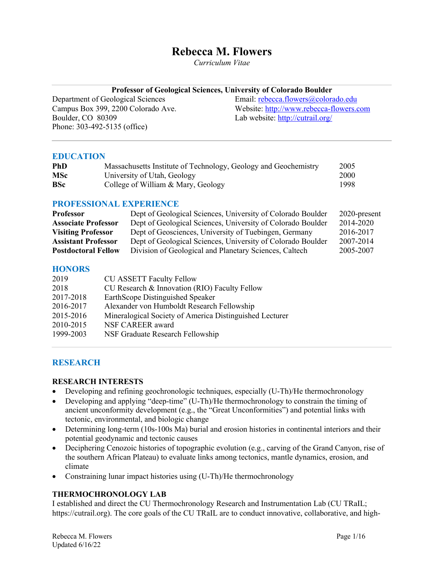# **Rebecca M. Flowers**

*Curriculum Vitae*

|  |  | Professor of Geological Sciences, University of Colorado Boulder |  |  |
|--|--|------------------------------------------------------------------|--|--|
|  |  |                                                                  |  |  |

Boulder, CO 80309 Lab website: http://cutrail.org/ Phone: 303-492-5135 (office)

Department of Geological Sciences<br>
Campus Box 399, 2200 Colorado Ave.<br>
Website: http://www.rebecca-flowers.c Website: http://www.rebecca-flowers.com

# **EDUCATION**

| <b>PhD</b> | Massachusetts Institute of Technology, Geology and Geochemistry | 2005 |
|------------|-----------------------------------------------------------------|------|
| <b>MSc</b> | University of Utah, Geology                                     | 2000 |
| <b>BSc</b> | College of William & Mary, Geology                              | 1998 |

### **PROFESSIONAL EXPERIENCE**

| <b>Professor</b>           | Dept of Geological Sciences, University of Colorado Boulder | 2020-present |
|----------------------------|-------------------------------------------------------------|--------------|
| <b>Associate Professor</b> | Dept of Geological Sciences, University of Colorado Boulder | 2014-2020    |
| <b>Visiting Professor</b>  | Dept of Geosciences, University of Tuebingen, Germany       | 2016-2017    |
| <b>Assistant Professor</b> | Dept of Geological Sciences, University of Colorado Boulder | 2007-2014    |
| <b>Postdoctoral Fellow</b> | Division of Geological and Planetary Sciences, Caltech      | 2005-2007    |

# **HONORS**

| 2019      | CU ASSETT Faculty Fellow                                |
|-----------|---------------------------------------------------------|
| 2018      | CU Research & Innovation (RIO) Faculty Fellow           |
| 2017-2018 | EarthScope Distinguished Speaker                        |
| 2016-2017 | Alexander von Humboldt Research Fellowship              |
| 2015-2016 | Mineralogical Society of America Distinguished Lecturer |
| 2010-2015 | NSF CAREER award                                        |
| 1999-2003 | NSF Graduate Research Fellowship                        |

# **RESEARCH**

#### **RESEARCH INTERESTS**

- Developing and refining geochronologic techniques, especially (U-Th)/He thermochronology
- Developing and applying "deep-time" (U-Th)/He thermochronology to constrain the timing of ancient unconformity development (e.g., the "Great Unconformities") and potential links with tectonic, environmental, and biologic change
- Determining long-term (10s-100s Ma) burial and erosion histories in continental interiors and their potential geodynamic and tectonic causes
- Deciphering Cenozoic histories of topographic evolution (e.g., carving of the Grand Canyon, rise of the southern African Plateau) to evaluate links among tectonics, mantle dynamics, erosion, and climate
- Constraining lunar impact histories using (U-Th)/He thermochronology

# **THERMOCHRONOLOGY LAB**

I established and direct the CU Thermochronology Research and Instrumentation Lab (CU TRaIL; https://cutrail.org). The core goals of the CU TRaIL are to conduct innovative, collaborative, and high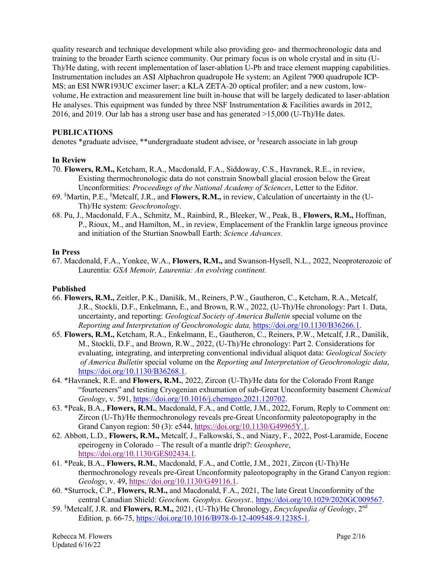quality research and technique development while also providing geo- and thermochronologic data and training to the broader Earth science community. Our primary focus is on whole crystal and in situ (U-Th)/He dating, with recent implementation of laser-ablation U-Pb and trace element mapping capabilities. Instrumentation includes an ASI Alphachron quadrupole He system; an Agilent 7900 quadrupole ICP-MS; an ESI NWR193UC excimer laser; a KLA ZETA-20 optical profiler; and a new custom, lowvolume, He extraction and measurement line built in-house that will be largely dedicated to laser-ablation He analyses. This equipment was funded by three NSF Instrumentation & Facilities awards in 2012, 2016, and 2019. Our lab has a strong user base and has generated >15,000 (U-Th)/He dates.

### **PUBLICATIONS**

denotes \*graduate advisee, \*\*undergraduate student advisee, or <sup>§</sup>research associate in lab group

### **In Review**

- 70. **Flowers, R.M.,** Ketcham, R.A., Macdonald, F.A., Siddoway, C.S., Havranek, R.E., in review, Existing thermochronologic data do not constrain Snowball glacial erosion below the Great Unconformities: *Proceedings of the National Academy of Sciences*, Letter to the Editor.
- 69. § Martin, P.E., § Metcalf, J.R., and **Flowers, R.M.,** in review, Calculation of uncertainty in the (U-Th)/He system: *Geochronology*.
- 68. Pu, J., Macdonald, F.A., Schmitz, M., Rainbird, R., Bleeker, W., Peak, B., **Flowers, R.M.,** Hoffman, P., Rioux, M., and Hamilton, M., in review, Emplacement of the Franklin large igneous province and initiation of the Sturtian Snowball Earth: *Science Advances.*

#### **In Press**

67. Macdonald, F.A., Yonkee, W.A., **Flowers, R.M.,** and Swanson-Hysell, N.L., 2022, Neoproterozoic of Laurentia: *GSA Memoir, Laurentia: An evolving continent.*

#### **Published**

- 66. **Flowers, R.M.,** Zeitler, P.K., Danišík, M., Reiners, P.W., Gautheron, C., Ketcham, R.A., Metcalf, J.R., Stockli, D.F., Enkelmann, E., and Brown, R.W., 2022, (U-Th)/He chronology: Part 1. Data, uncertainty, and reporting: *Geological Society of America Bulletin* special volume on the *Reporting and Interpretation of Geochronologic data,* https://doi.org/10.1130/B36266.1.
- 65. **Flowers, R.M.,** Ketcham, R.A., Enkelmann, E., Gautheron, C., Reiners, P.W., Metcalf, J.R., Danišík, M., Stockli, D.F., and Brown, R.W., 2022, (U-Th)/He chronology: Part 2. Considerations for evaluating, integrating, and interpreting conventional individual aliquot data: *Geological Society of America Bulletin* special volume on the *Reporting and Interpretation of Geochronologic data*, https://doi.org/10.1130/B36268.1.
- 64. \*Havranek, R.E. and **Flowers, R.M.**, 2022, Zircon (U-Th)/He data for the Colorado Front Range "fourteeners" and testing Cryogenian exhumation of sub-Great Unconformity basement *Chemical Geology*, v. 591, https://doi.org/10.1016/j.chemgeo.2021.120702.
- 63. \*Peak, B.A., **Flowers, R.M.**, Macdonald, F.A., and Cottle, J.M., 2022, Forum, Reply to Comment on: Zircon (U-Th)/He thermochronology reveals pre-Great Unconformity paleotopography in the Grand Canyon region: 50 (3): e544, https://doi.org/10.1130/G49965Y.1.
- 62. Abbott, L.D., **Flowers, R.M.,** Metcalf, J., Falkowski, S., and Niazy, F., 2022, Post-Laramide, Eocene epeirogeny in Colorado – The result of a mantle drip?: *Geosphere*, https://doi.org/10.1130/GES02434.1*.*
- 61. \*Peak, B.A., **Flowers, R.M.**, Macdonald, F.A., and Cottle, J.M., 2021, Zircon (U-Th)/He thermochronology reveals pre-Great Unconformity paleotopography in the Grand Canyon region: *Geology*, v. 49, https://doi.org/10.1130/G49116.1.
- 60. \*Sturrock, C.P., **Flowers, R.M.,** and Macdonald, F.A., 2021, The late Great Unconformity of the central Canadian Shield: *Geochem. Geophys. Geosyst.,* https://doi.org/10.1029/2020GC009567.
- 59. § Metcalf, J.R. and **Flowers, R.M.,** 2021, (U-Th)/He Chronology, *Encyclopedia of Geology*, 2nd Edition*,* p. 66-75, https://doi.org/10.1016/B978-0-12-409548-9.12385-1.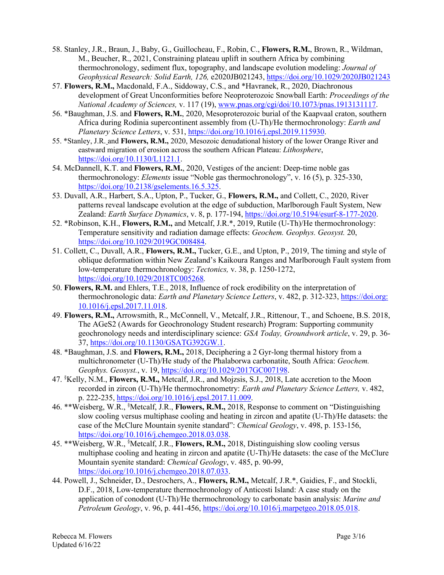- 58. Stanley, J.R., Braun, J., Baby, G., Guillocheau, F., Robin, C., **Flowers, R.M.**, Brown, R., Wildman, M., Beucher, R., 2021, Constraining plateau uplift in southern Africa by combining thermochronology, sediment flux, topography, and landscape evolution modeling: *Journal of Geophysical Research: Solid Earth, 126,* e2020JB021243, https://doi.org/10.1029/2020JB021243
- 57. **Flowers, R.M.,** Macdonald, F.A., Siddoway, C.S., and \*Havranek, R., 2020, Diachronous development of Great Unconformities before Neoproterozoic Snowball Earth: *Proceedings of the National Academy of Sciences,* v. 117 (19), www.pnas.org/cgi/doi/10.1073/pnas.1913131117.
- 56. \*Baughman, J.S. and **Flowers, R.M.**, 2020, Mesoproterozoic burial of the Kaapvaal craton, southern Africa during Rodinia supercontinent assembly from (U-Th)/He thermochronology: *Earth and Planetary Science Letters*, v. 531, https://doi.org/10.1016/j.epsl.2019.115930.
- 55. \*Stanley, J.R. and **Flowers, R.M.,** 2020, Mesozoic denudational history of the lower Orange River and eastward migration of erosion across the southern African Plateau: *Lithosphere*, https://doi.org/10.1130/L1121.1.
- 54. McDannell, K.T. and **Flowers, R.M.**, 2020, Vestiges of the ancient: Deep-time noble gas thermochronology: *Elements* issue "Noble gas thermochronology", v. 16 (5), p. 325-330, https://doi.org/10.2138/gselements.16.5.325.
- 53. Duvall, A.R., Harbert, S.A., Upton, P., Tucker, G., **Flowers, R.M.,** and Collett, C., 2020, River patterns reveal landscape evolution at the edge of subduction, Marlborough Fault System, New Zealand: *Earth Surface Dynamics*, v. 8, p. 177-194, https://doi.org/10.5194/esurf-8-177-2020.
- 52. \*Robinson, K.H., **Flowers, R.M.,** and Metcalf, J.R.\*, 2019, Rutile (U-Th)/He thermochronology: Temperature sensitivity and radiation damage effects: *Geochem. Geophys. Geosyst.* 20, https://doi.org/10.1029/2019GC008484.
- 51. Collett, C., Duvall, A.R., **Flowers, R.M.,** Tucker, G.E., and Upton, P., 2019, The timing and style of oblique deformation within New Zealand's Kaikoura Ranges and Marlborough Fault system from low-temperature thermochronology: *Tectonics,* v. 38, p. 1250-1272, https://doi.org/10.1029/2018TC005268*.*
- 50. **Flowers, R.M.** and Ehlers, T.E., 2018, Influence of rock erodibility on the interpretation of thermochronologic data: *Earth and Planetary Science Letters*, v. 482, p. 312-323, https://doi.org: 10.1016/j.epsl.2017.11.018.
- 49. **Flowers, R.M.,** Arrowsmith, R., McConnell, V., Metcalf, J.R., Rittenour, T., and Schoene, B.S. 2018, The AGeS2 (Awards for Geochronology Student research) Program: Supporting community geochronology needs and interdisciplinary science: *GSA Today, Groundwork article*, v. 29, p. 36- 37, https://doi.org/10.1130/GSATG392GW.1.
- 48. \*Baughman, J.S. and **Flowers, R.M.,** 2018, Deciphering a 2 Gyr-long thermal history from a multichronometer (U-Th)/He study of the Phalaborwa carbonatite, South Africa: *Geochem. Geophys. Geosyst.*, v. 19, https://doi.org/10.1029/2017GC007198.
- 47. § Kelly, N.M., **Flowers, R.M.,** Metcalf, J.R., and Mojzsis, S.J., 2018, Late accretion to the Moon recorded in zircon (U-Th)/He thermochronometry: *Earth and Planetary Science Letters,* v. 482, p. 222-235, https://doi.org/10.1016/j.epsl.2017.11.009.
- 46. \*\*Weisberg, W.R., § Metcalf, J.R., **Flowers, R.M.,** 2018, Response to comment on "Distinguishing slow cooling versus multiphase cooling and heating in zircon and apatite (U-Th)/He datasets: the case of the McClure Mountain syenite standard": *Chemical Geology*, v. 498, p. 153-156, https://doi.org/10.1016/j.chemgeo.2018.03.038.
- 45. \*\*Weisberg, W.R., § Metcalf, J.R., **Flowers, R.M.,** 2018, Distinguishing slow cooling versus multiphase cooling and heating in zircon and apatite (U-Th)/He datasets: the case of the McClure Mountain syenite standard: *Chemical Geology*, v. 485, p. 90-99, https://doi.org/10.1016/j.chemgeo.2018.07.033.
- 44. Powell, J., Schneider, D., Desrochers, A., **Flowers, R.M.,** Metcalf, J.R.\*, Gaidies, F., and Stockli, D.F., 2018, Low-temperature thermochronology of Anticosti Island: A case study on the application of conodont (U-Th)/He thermochronology to carbonate basin analysis: *Marine and Petroleum Geology*, v. 96, p. 441-456, https://doi.org/10.1016/j.marpetgeo.2018.05.018.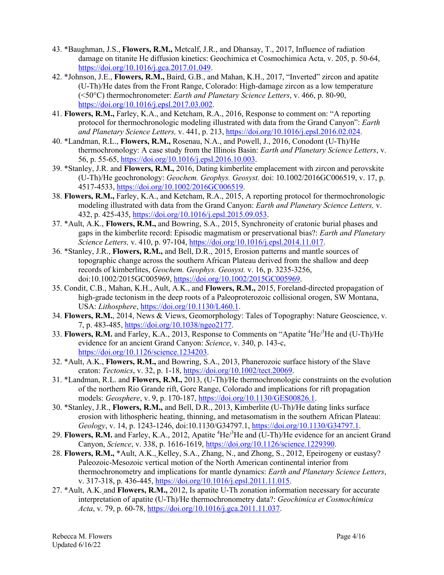- 43. \*Baughman, J.S., **Flowers, R.M.,** Metcalf, J.R., and Dhansay, T., 2017, Influence of radiation damage on titanite He diffusion kinetics: Geochimica et Cosmochimica Acta, v. 205, p. 50-64, https://doi.org/10.1016/j.gca.2017.01.049.
- 42. \*Johnson, J.E., **Flowers, R.M.,** Baird, G.B., and Mahan, K.H., 2017, "Inverted" zircon and apatite (U-Th)/He dates from the Front Range, Colorado: High-damage zircon as a low temperature (<50°C) thermochronometer: *Earth and Planetary Science Letters*, v. 466, p. 80-90, https://doi.org/10.1016/j.epsl.2017.03.002.
- 41. **Flowers, R.M.,** Farley, K.A., and Ketcham, R.A., 2016, Response to comment on: "A reporting protocol for thermochronologic modeling illustrated with data from the Grand Canyon": *Earth and Planetary Science Letters,* v. 441, p. 213, https://doi.org/10.1016/j.epsl.2016.02.024.
- 40. \*Landman, R.L., **Flowers, R.M.,** Rosenau, N.A., and Powell, J., 2016, Conodont (U-Th)/He thermochronology: A case study from the Illinois Basin: *Earth and Planetary Science Letters*, v. 56, p. 55-65, https://doi.org/10.1016/j.epsl.2016.10.003.
- 39. \*Stanley, J.R. and **Flowers, R.M.,** 2016, Dating kimberlite emplacement with zircon and perovskite (U-Th)/He geochronology: *Geochem. Geophys. Geosyst.* doi: 10.1002/2016GC006519, v. 17, p. 4517-4533, https://doi.org/10.1002/2016GC006519.
- 38. **Flowers, R.M.,** Farley, K.A., and Ketcham, R.A., 2015, A reporting protocol for thermochronologic modeling illustrated with data from the Grand Canyon: *Earth and Planetary Science Letters,* v. 432, p. 425-435, https://doi.org/10.1016/j.epsl.2015.09.053.
- 37. \*Ault, A.K., **Flowers, R.M.,** and Bowring, S.A., 2015, Synchroneity of cratonic burial phases and gaps in the kimberlite record: Episodic magmatism or preservational bias?: *Earth and Planetary Science Letters,* v. 410, p. 97-104, https://doi.org/10.1016/j.epsl.2014.11.017.
- 36. \*Stanley, J.R., **Flowers, R.M.,** and Bell, D.R., 2015, Erosion patterns and mantle sources of topographic change across the southern African Plateau derived from the shallow and deep records of kimberlites, *Geochem. Geophys. Geosyst.* v. 16, p. 3235-3256, doi:10.1002/2015GC005969, https://doi.org/10.1002/2015GC005969.
- 35. Condit, C.B., Mahan, K.H., Ault, A.K., and **Flowers, R.M.,** 2015, Foreland-directed propagation of high-grade tectonism in the deep roots of a Paleoproterozoic collisional orogen, SW Montana, USA: *Lithosphere*, https://doi.org/10.1130/L460.1.
- 34. **Flowers, R.M.**, 2014, News & Views, Geomorphology: Tales of Topography: Nature Geoscience, v. 7, p. 483-485, https://doi.org/10.1038/ngeo2177.
- 33. Flowers, R.M. and Farley, K.A., 2013, Response to Comments on "Apatite <sup>4</sup>He<sup>3</sup>He and (U-Th)/He evidence for an ancient Grand Canyon: *Science*, v. 340, p. 143-c, https://doi.org/10.1126/science.1234203.
- 32. \*Ault, A.K., **Flowers, R.M.,** and Bowring, S.A., 2013, Phanerozoic surface history of the Slave craton: *Tectonics*, v. 32, p. 1-18, https://doi.org/10.1002/tect.20069.
- 31. \*Landman, R.L. and **Flowers, R.M.,** 2013, (U-Th)/He thermochronologic constraints on the evolution of the northern Rio Grande rift, Gore Range, Colorado and implications for rift propagation models: *Geosphere*, v. 9, p. 170-187, https://doi.org/10.1130/GES00826.1.
- 30. \*Stanley, J.R., **Flowers, R.M.,** and Bell, D.R., 2013, Kimberlite (U-Th)/He dating links surface erosion with lithospheric heating, thinning, and metasomatism in the southern African Plateau: *Geology*, v. 14, p. 1243-1246, doi:10.1130/G34797.1, https://doi.org/10.1130/G34797.1.
- 29. **Flowers, R.M.** and Farley, K.A., 2012, Apatite <sup>4</sup>He/<sup>3</sup>He and (U-Th)/He evidence for an ancient Grand Canyon, *Science*, v. 338, p. 1616-1619, https://doi.org/10.1126/science.1229390.
- 28. **Flowers, R.M.,** \*Ault, A.K., Kelley, S.A., Zhang, N., and Zhong, S., 2012, Epeirogeny or eustasy? Paleozoic-Mesozoic vertical motion of the North American continental interior from thermochronometry and implications for mantle dynamics: *Earth and Planetary Science Letters*, v. 317-318, p. 436-445, https://doi.org/10.1016/j.epsl.2011.11.015.
- 27. \*Ault, A.K. and **Flowers, R.M.,** 2012, Is apatite U-Th zonation information necessary for accurate interpretation of apatite (U-Th)/He thermochronometry data?: *Geochimica et Cosmochimica Acta*, v. 79, p. 60-78, https://doi.org/10.1016/j.gca.2011.11.037.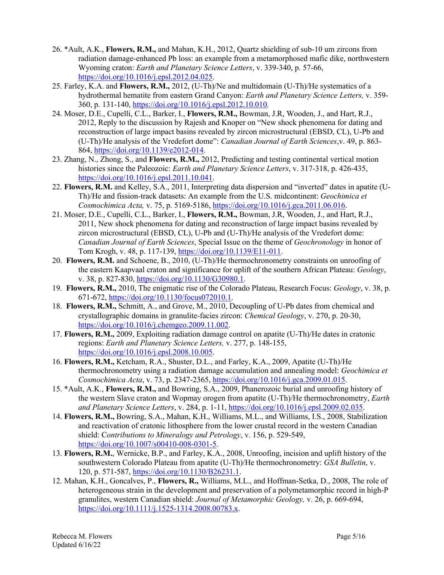- 26. \*Ault, A.K., **Flowers, R.M.,** and Mahan, K.H., 2012, Quartz shielding of sub-10 um zircons from radiation damage-enhanced Pb loss: an example from a metamorphosed mafic dike, northwestern Wyoming craton: *Earth and Planetary Science Letters*, v. 339-340, p. 57-66, https://doi.org/10.1016/j.epsl.2012.04.025.
- 25. Farley, K.A. and **Flowers, R.M.,** 2012, (U-Th)/Ne and multidomain (U-Th)/He systematics of a hydrothermal hematite from eastern Grand Canyon: *Earth and Planetary Science Letters,* v. 359- 360, p. 131-140, https://doi.org/10.1016/j.epsl.2012.10.010*.*
- 24. Moser, D.E., Cupelli, C.L., Barker, I., **Flowers, R.M.,** Bowman, J.R, Wooden, J., and Hart, R.J., 2012, Reply to the discussion by Rajesh and Knoper on "New shock phenomena for dating and reconstruction of large impact basins revealed by zircon microstructural (EBSD, CL), U-Pb and (U-Th)/He analysis of the Vredefort dome": *Canadian Journal of Earth Sciences*,v. 49, p. 863- 864, https://doi.org/10.1139/e2012-014.
- 23. Zhang, N., Zhong, S., and **Flowers, R.M.,** 2012, Predicting and testing continental vertical motion histories since the Paleozoic: *Earth and Planetary Science Letters*, v. 317-318, p. 426-435, https://doi.org/10.1016/j.epsl.2011.10.041.
- 22. **Flowers, R.M.** and Kelley, S.A., 2011, Interpreting data dispersion and "inverted" dates in apatite (U-Th)/He and fission-track datasets: An example from the U.S. midcontinent: *Geochimica et Cosmochimica Acta,* v. 75, p. 5169-5186, https://doi.org/10.1016/j.gca.2011.06.016.
- 21. Moser, D.E., Cupelli, C.L., Barker, I., **Flowers, R.M.,** Bowman, J.R, Wooden, J., and Hart, R.J., 2011, New shock phenomena for dating and reconstruction of large impact basins revealed by zircon microstructural (EBSD, CL), U-Pb and (U-Th)/He analysis of the Vredefort dome: *Canadian Journal of Earth Sciences*, Special Issue on the theme of *Geochronology* in honor of Tom Krogh, v. 48, p. 117-139, https://doi.org/10.1139/E11-011.
- 20. **Flowers, R.M.** and Schoene, B., 2010, (U-Th)/He thermochronometry constraints on unroofing of the eastern Kaapvaal craton and significance for uplift of the southern African Plateau: *Geology*, v. 38, p. 827-830, https://doi.org/10.1130/G30980.1.
- 19. **Flowers, R.M.,** 2010, The enigmatic rise of the Colorado Plateau, Research Focus: *Geology*, v. 38, p. 671-672, https://doi.org/10.1130/focus072010.1.
- 18. **Flowers, R.M.,** Schmitt, A., and Grove, M., 2010, Decoupling of U-Pb dates from chemical and crystallographic domains in granulite-facies zircon: *Chemical Geology*, v. 270, p. 20-30, https://doi.org/10.1016/j.chemgeo.2009.11.002.
- 17. **Flowers, R.M.,** 2009, Exploiting radiation damage control on apatite (U-Th)/He dates in cratonic regions: *Earth and Planetary Science Letters,* v. 277, p. 148-155, https://doi.org/10.1016/j.epsl.2008.10.005.
- 16. **Flowers, R.M.,** Ketcham, R.A., Shuster, D.L., and Farley, K.A., 2009, Apatite (U-Th)/He thermochronometry using a radiation damage accumulation and annealing model: *Geochimica et Cosmochimica Acta*, v. 73, p. 2347-2365, https://doi.org/10.1016/j.gca.2009.01.015.
- 15. \*Ault, A.K., **Flowers, R.M.,** and Bowring, S.A., 2009, Phanerozoic burial and unroofing history of the western Slave craton and Wopmay orogen from apatite (U-Th)/He thermochronometry, *Earth and Planetary Science Letters*, v. 284, p. 1-11, https://doi.org/10.1016/j.epsl.2009.02.035.
- 14. **Flowers, R.M.,** Bowring, S.A., Mahan, K.H., Williams, M.L., and Williams, I.S., 2008, Stabilization and reactivation of cratonic lithosphere from the lower crustal record in the western Canadian shield: C*ontributions to Mineralogy and Petrology*, v. 156, p. 529-549, https://doi.org/10.1007/s00410-008-0301-5.
- 13. **Flowers, R.M.**, Wernicke, B.P., and Farley, K.A., 2008, Unroofing, incision and uplift history of the southwestern Colorado Plateau from apatite (U-Th)/He thermochronometry: *GSA Bulletin*, v. 120, p. 571-587, https://doi.org/10.1130/B26231.1.
- 12. Mahan, K.H., Goncalves, P., **Flowers, R.,** Williams, M.L., and Hoffman-Setka, D., 2008, The role of heterogeneous strain in the development and preservation of a polymetamorphic record in high-P granulites, western Canadian shield: *Journal of Metamorphic Geology,* v. 26, p. 669-694, https://doi.org/10.1111/j.1525-1314.2008.00783.x.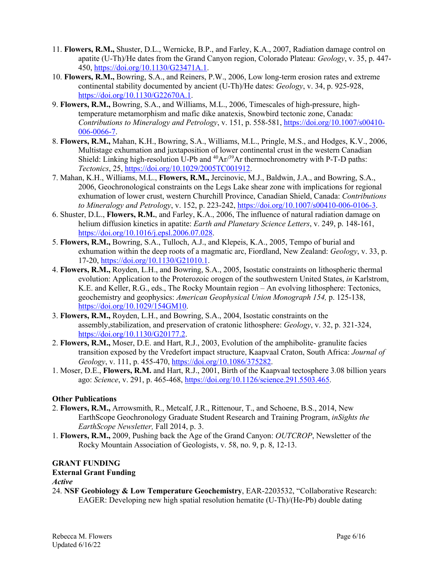- 11. **Flowers, R.M.,** Shuster, D.L., Wernicke, B.P., and Farley, K.A., 2007, Radiation damage control on apatite (U-Th)/He dates from the Grand Canyon region, Colorado Plateau: *Geology*, v. 35, p. 447- 450, https://doi.org/10.1130/G23471A.1.
- 10. **Flowers, R.M.,** Bowring, S.A., and Reiners, P.W., 2006, Low long-term erosion rates and extreme continental stability documented by ancient (U-Th)/He dates: *Geology*, v. 34, p. 925-928, https://doi.org/10.1130/G22670A.1.
- 9. **Flowers, R.M.,** Bowring, S.A., and Williams, M.L., 2006, Timescales of high-pressure, hightemperature metamorphism and mafic dike anatexis, Snowbird tectonic zone, Canada: *Contributions to Mineralogy and Petrology*, v. 151, p. 558-581, https://doi.org/10.1007/s00410- 006-0066-7.
- 8. **Flowers, R.M.,** Mahan, K.H., Bowring, S.A., Williams, M.L., Pringle, M.S., and Hodges, K.V., 2006, Multistage exhumation and juxtaposition of lower continental crust in the western Canadian Shield: Linking high-resolution U-Pb and  $^{40}Ar^{39}Ar$  thermochronometry with P-T-D paths: *Tectonics*, 25, https://doi.org/10.1029/2005TC001912.
- 7. Mahan, K.H., Williams, M.L., **Flowers, R.M.,** Jercinovic, M.J., Baldwin, J.A., and Bowring, S.A., 2006, Geochronological constraints on the Legs Lake shear zone with implications for regional exhumation of lower crust, western Churchill Province, Canadian Shield, Canada: *Contributions to Mineralogy and Petrology*, v. 152, p. 223-242, https://doi.org/10.1007/s00410-006-0106-3.
- 6. Shuster, D.L., **Flowers, R.M.**, and Farley, K.A., 2006, The influence of natural radiation damage on helium diffusion kinetics in apatite: *Earth and Planetary Science Letters*, v. 249, p. 148-161, https://doi.org/10.1016/j.epsl.2006.07.028.
- 5. **Flowers, R.M.,** Bowring, S.A., Tulloch, A.J., and Klepeis, K.A., 2005, Tempo of burial and exhumation within the deep roots of a magmatic arc, Fiordland, New Zealand: *Geology*, v. 33, p. 17-20, https://doi.org/10.1130/G21010.1.
- 4. **Flowers, R.M.,** Royden, L.H., and Bowring, S.A., 2005, Isostatic constraints on lithospheric thermal evolution: Application to the Proterozoic orogen of the southwestern United States, *in* Karlstrom, K.E. and Keller, R.G., eds., The Rocky Mountain region – An evolving lithosphere: Tectonics, geochemistry and geophysics: *American Geophysical Union Monograph 154,* p. 125-138, https://doi.org/10.1029/154GM10.
- 3. **Flowers, R.M.,** Royden, L.H., and Bowring, S.A., 2004, Isostatic constraints on the assembly,stabilization, and preservation of cratonic lithosphere: *Geology*, v. 32, p. 321-324, https://doi.org/10.1130/G20177.2.
- 2. **Flowers, R.M.,** Moser, D.E. and Hart, R.J., 2003, Evolution of the amphibolite- granulite facies transition exposed by the Vredefort impact structure, Kaapvaal Craton, South Africa: *Journal of Geology*, v. 111, p. 455-470, https://doi.org/10.1086/375282.
- 1. Moser, D.E., **Flowers, R.M.** and Hart, R.J., 2001, Birth of the Kaapvaal tectosphere 3.08 billion years ago: *Science*, v. 291, p. 465-468, https://doi.org/10.1126/science.291.5503.465.

# **Other Publications**

- 2. **Flowers, R.M.,** Arrowsmith, R., Metcalf, J.R., Rittenour, T., and Schoene, B.S., 2014, New EarthScope Geochronology Graduate Student Research and Training Program, *inSights the EarthScope Newsletter,* Fall 2014, p. 3.
- 1. **Flowers, R.M.,** 2009, Pushing back the Age of the Grand Canyon: *OUTCROP*, Newsletter of the Rocky Mountain Association of Geologists, v. 58, no. 9, p. 8, 12-13.

# **GRANT FUNDING**

#### **External Grant Funding**

*Active*

24. **NSF Geobiology & Low Temperature Geochemistry**, EAR-2203532, "Collaborative Research: EAGER: Developing new high spatial resolution hematite (U-Th)/(He-Pb) double dating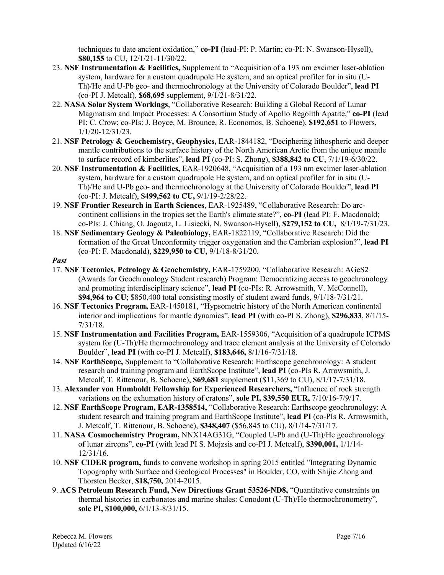techniques to date ancient oxidation," **co-PI** (lead-PI: P. Martin; co-PI: N. Swanson-Hysell), **\$80,155** to CU, 12/1/21-11/30/22.

- 23. **NSF Instrumentation & Facilities,** Supplement to "Acquisition of a 193 nm excimer laser-ablation system, hardware for a custom quadrupole He system, and an optical profiler for in situ (U-Th)/He and U-Pb geo- and thermochronology at the University of Colorado Boulder", **lead PI** (co-PI J. Metcalf), **\$68,695** supplement, 9/1/21-8/31/22.
- 22. **NASA Solar System Workings**, "Collaborative Research: Building a Global Record of Lunar Magmatism and Impact Processes: A Consortium Study of Apollo Regolith Apatite," **co-PI** (lead PI: C. Crow; co-PIs: J. Boyce, M. Brounce, R. Economos, B. Schoene), **\$192,651** to Flowers, 1/1/20-12/31/23.
- 21. **NSF Petrology & Geochemistry, Geophysics,** EAR-1844182, "Deciphering lithospheric and deeper mantle contributions to the surface history of the North American Arctic from the unique mantle to surface record of kimberlites", **lead PI** (co-PI: S. Zhong), **\$388,842 to CU**, 7/1/19-6/30/22.
- 20. **NSF Instrumentation & Facilities,** EAR-1920648, "Acquisition of a 193 nm excimer laser-ablation system, hardware for a custom quadrupole He system, and an optical profiler for in situ (U-Th)/He and U-Pb geo- and thermochronology at the University of Colorado Boulder", **lead PI** (co-PI: J. Metcalf), **\$499,562 to CU,** 9/1/19-2/28/22.
- 19. **NSF Frontier Research in Earth Sciences**, EAR-1925489, "Collaborative Research: Do arccontinent collisions in the tropics set the Earth's climate state?", **co-PI** (lead PI: F. Macdonald; co-PIs: J. Chiang, O. Jagoutz, L. Lisiecki, N. Swanson-Hysell), **\$279,152 to CU,** 8/1/19-7/31/23.
- 18. **NSF Sedimentary Geology & Paleobiology,** EAR-1822119, "Collaborative Research: Did the formation of the Great Unconformity trigger oxygenation and the Cambrian explosion?", **lead PI** (co-PI: F. Macdonald), **\$229,950 to CU,** 9/1/18-8/31/20.
- *Past*
- 17. **NSF Tectonics, Petrology & Geochemistry,** EAR-1759200, "Collaborative Research: AGeS2 (Awards for Geochronology Student research) Program: Democratizing access to geochronology and promoting interdisciplinary science", **lead PI** (co-PIs: R. Arrowsmith, V. McConnell), **\$94,964 to CU**; \$850,400 total consisting mostly of student award funds, 9/1/18-7/31/21.
- 16. **NSF Tectonics Program,** EAR-1450181, "Hypsometric history of the North American continental interior and implications for mantle dynamics", **lead PI** (with co-PI S. Zhong), **\$296,833**, 8/1/15- 7/31/18.
- 15. **NSF Instrumentation and Facilities Program,** EAR-1559306, "Acquisition of a quadrupole ICPMS system for (U-Th)/He thermochronology and trace element analysis at the University of Colorado Boulder", **lead PI** (with co-PI J. Metcalf), **\$183,646,** 8/1/16-7/31/18.
- 14. **NSF EarthScope,** Supplement to "Collaborative Research: Earthscope geochronology: A student research and training program and EarthScope Institute", **lead PI** (co-PIs R. Arrowsmith, J. Metcalf, T. Rittenour, B. Schoene), **\$69,681** supplement (\$11,369 to CU), 8/1/17-7/31/18.
- 13. **Alexander von Humboldt Fellowship for Experienced Researchers,** "Influence of rock strength variations on the exhumation history of cratons", **sole PI, \$39,550 EUR,** 7/10/16-7/9/17.
- 12. **NSF EarthScope Program, EAR-1358514,** "Collaborative Research: Earthscope geochronology: A student research and training program and EarthScope Institute", **lead PI** (co-PIs R. Arrowsmith, J. Metcalf, T. Rittenour, B. Schoene), **\$348,407** (\$56,845 to CU), 8/1/14-7/31/17.
- 11. **NASA Cosmochemistry Program,** NNX14AG31G, "Coupled U-Pb and (U-Th)/He geochronology of lunar zircons", **co-PI** (with lead PI S. Mojzsis and co-PI J. Metcalf), **\$390,001,** 1/1/14- 12/31/16.
- 10. **NSF CIDER program,** funds to convene workshop in spring 2015 entitled "Integrating Dynamic Topography with Surface and Geological Processes" in Boulder, CO, with Shijie Zhong and Thorsten Becker, **\$18,750,** 2014-2015.
- 9. **ACS Petroleum Research Fund, New Directions Grant 53526-ND8,** "Quantitative constraints on thermal histories in carbonates and marine shales: Conodont (U-Th)/He thermochronometry"*,* **sole PI, \$100,000,** 6/1/13-8/31/15.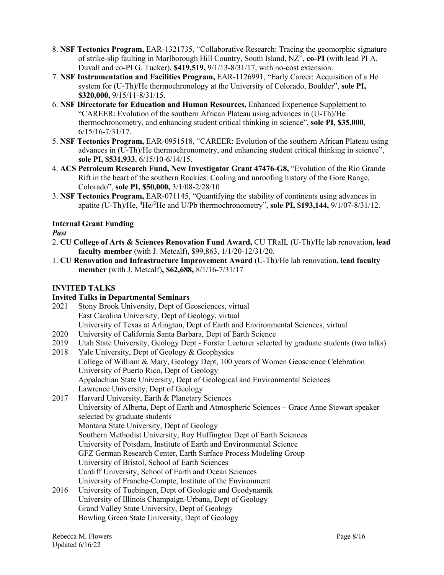- 8. **NSF Tectonics Program,** EAR-1321735, "Collaborative Research: Tracing the geomorphic signature of strike-slip faulting in Marlborough Hill Country, South Island, NZ", **co-PI** (with lead PI A. Duvall and co-PI G. Tucker), **\$419,519,** 9/1/13-8/31/17, with no-cost extension.
- 7. **NSF Instrumentation and Facilities Program,** EAR-1126991, "Early Career: Acquisition of a He system for (U-Th)/He thermochronology at the University of Colorado, Boulder", **sole PI, \$320,000,** 9/15/11-8/31/15.
- 6. **NSF Directorate for Education and Human Resources,** Enhanced Experience Supplement to "CAREER: Evolution of the southern African Plateau using advances in (U-Th)/He thermochronometry, and enhancing student critical thinking in science", **sole PI, \$35,000**, 6/15/16-7/31/17.
- 5. **NSF Tectonics Program,** EAR-0951518, "CAREER: Evolution of the southern African Plateau using advances in (U-Th)/He thermochronometry, and enhancing student critical thinking in science", **sole PI, \$531,933**, 6/15/10-6/14/15.
- 4. **ACS Petroleum Research Fund, New Investigator Grant 47476-G8,** "Evolution of the Rio Grande Rift in the heart of the southern Rockies: Cooling and unroofing history of the Gore Range, Colorado", **sole PI, \$50,000,** 3/1/08-2/28/10
- 3. **NSF Tectonics Program,** EAR-071145, "Quantifying the stability of continents using advances in apatite (U-Th)/He, <sup>4</sup>He/<sup>3</sup>He and U/Pb thermochronometry", sole PI, \$193,144, 9/1/07-8/31/12.

# **Internal Grant Funding**

# *Past*

- 2. **CU College of Arts & Sciences Renovation Fund Award,** CU TRaIL (U-Th)/He lab renovation**, lead faculty member** (with J. Metcalf), \$99,863, 1/1/20-12/31/20.
- 1. **CU Renovation and Infrastructure Improvement Award** (U-Th)/He lab renovation, **lead faculty member** (with J. Metcalf)**, \$62,688,** 8/1/16-7/31/17

# **INVITED TALKS**

# **Invited Talks in Departmental Seminars**

- 2021 Stony Brook University, Dept of Geosciences, virtual East Carolina University, Dept of Geology, virtual University of Texas at Arlington, Dept of Earth and Environmental Sciences, virtual
- 2020 University of California Santa Barbara, Dept of Earth Science
- 2019 Utah State University, Geology Dept Forster Lecturer selected by graduate students (two talks)
- 2018 Yale University, Dept of Geology & Geophysics College of William & Mary, Geology Dept, 100 years of Women Geoscience Celebration University of Puerto Rico, Dept of Geology Appalachian State University, Dept of Geological and Environmental Sciences Lawrence University, Dept of Geology
- 2017 Harvard University, Earth & Planetary Sciences University of Alberta, Dept of Earth and Atmospheric Sciences – Grace Anne Stewart speaker selected by graduate students Montana State University, Dept of Geology Southern Methodist University, Roy Huffington Dept of Earth Sciences University of Potsdam, Institute of Earth and Environmental Science GFZ German Research Center, Earth Surface Process Modeling Group University of Bristol, School of Earth Sciences Cardiff University, School of Earth and Ocean Sciences University of Franche-Compte, Institute of the Environment 2016 University of Tuebingen, Dept of Geologie and Geodynamik
- University of Illinois Champaign-Urbana, Dept of Geology Grand Valley State University, Dept of Geology Bowling Green State University, Dept of Geology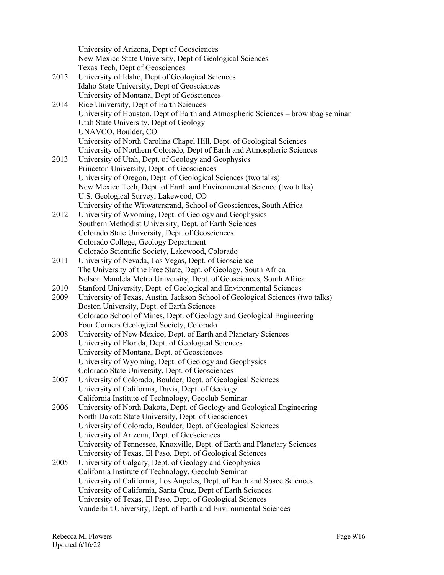University of Arizona, Dept of Geosciences New Mexico State University, Dept of Geological Sciences Texas Tech, Dept of Geosciences 2015 University of Idaho, Dept of Geological Sciences Idaho State University, Dept of Geosciences University of Montana, Dept of Geosciences 2014 Rice University, Dept of Earth Sciences University of Houston, Dept of Earth and Atmospheric Sciences – brownbag seminar Utah State University, Dept of Geology UNAVCO, Boulder, CO University of North Carolina Chapel Hill, Dept. of Geological Sciences University of Northern Colorado, Dept of Earth and Atmospheric Sciences 2013 University of Utah, Dept. of Geology and Geophysics Princeton University, Dept. of Geosciences University of Oregon, Dept. of Geological Sciences (two talks) New Mexico Tech, Dept. of Earth and Environmental Science (two talks) U.S. Geological Survey, Lakewood, CO University of the Witwatersrand, School of Geosciences, South Africa 2012 University of Wyoming, Dept. of Geology and Geophysics Southern Methodist University, Dept. of Earth Sciences Colorado State University, Dept. of Geosciences Colorado College, Geology Department Colorado Scientific Society, Lakewood, Colorado 2011 University of Nevada, Las Vegas, Dept. of Geoscience The University of the Free State, Dept. of Geology, South Africa Nelson Mandela Metro University, Dept. of Geosciences, South Africa 2010 Stanford University, Dept. of Geological and Environmental Sciences 2009 University of Texas, Austin, Jackson School of Geological Sciences (two talks) Boston University, Dept. of Earth Sciences Colorado School of Mines, Dept. of Geology and Geological Engineering Four Corners Geological Society, Colorado 2008 University of New Mexico, Dept. of Earth and Planetary Sciences University of Florida, Dept. of Geological Sciences University of Montana, Dept. of Geosciences University of Wyoming, Dept. of Geology and Geophysics Colorado State University, Dept. of Geosciences 2007 University of Colorado, Boulder, Dept. of Geological Sciences University of California, Davis, Dept. of Geology California Institute of Technology, Geoclub Seminar 2006 University of North Dakota, Dept. of Geology and Geological Engineering North Dakota State University, Dept. of Geosciences University of Colorado, Boulder, Dept. of Geological Sciences University of Arizona, Dept. of Geosciences University of Tennessee, Knoxville, Dept. of Earth and Planetary Sciences University of Texas, El Paso, Dept. of Geological Sciences 2005 University of Calgary, Dept. of Geology and Geophysics California Institute of Technology, Geoclub Seminar University of California, Los Angeles, Dept. of Earth and Space Sciences University of California, Santa Cruz, Dept of Earth Sciences University of Texas, El Paso, Dept. of Geological Sciences Vanderbilt University, Dept. of Earth and Environmental Sciences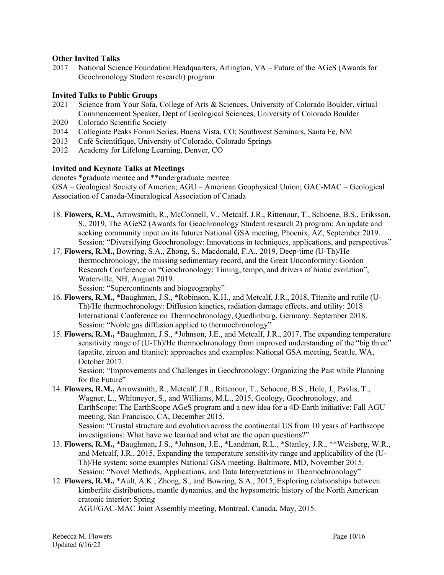#### **Other Invited Talks**

2017 National Science Foundation Headquarters, Arlington, VA – Future of the AGeS (Awards for Geochronology Student research) program

#### **Invited Talks to Public Groups**

- 2021 Science from Your Sofa, College of Arts & Sciences, University of Colorado Boulder, virtual Commencement Speaker, Dept of Geological Sciences, University of Colorado Boulder
- 2020 Colorado Scientific Society
- 2014 Collegiate Peaks Forum Series, Buena Vista, CO; Southwest Seminars, Santa Fe, NM
- 2013 Café Scientifique, University of Colorado, Colorado Springs
- 2012 Academy for Lifelong Learning, Denver, CO

### **Invited and Keynote Talks at Meetings**

denotes \*graduate mentee and \*\*undergraduate mentee

GSA – Geological Society of America; AGU – American Geophysical Union; GAC-MAC – Geological Association of Canada-Mineralogical Association of Canada

- 18. **Flowers, R.M.,** Arrowsmith, R., McConnell, V., Metcalf, J.R., Rittenour, T., Schoene, B.S., Eriksson, S., 2019, The AGeS2 (Awards for Geochronology Student research 2) program: An update and seeking community input on its future**:** National GSA meeting, Phoenix, AZ, September 2019. Session: "Diversifying Geochronology: Innovations in techniques, applications, and perspectives"
- 17. **Flowers, R.M.,** Bowring, S.A., Zhong, S., Macdonald, F.A., 2019, Deep-time (U-Th)/He thermochronology, the missing sedimentary record, and the Great Unconformity: Gordon Research Conference on "Geochronology: Timing, tempo, and drivers of biotic evolution", Waterville, NH, August 2019.

Session: "Supercontinents and biogeography"

- 16. **Flowers, R.M.,** \*Baughman, J.S., \*Robinson, K.H., and Metcalf, J.R., 2018, Titanite and rutile (U-Th)/He thermochronology: Diffusion kinetics, radiation damage effects, and utility: 2018 International Conference on Thermochronology, Quedlinburg, Germany. September 2018. Session: "Noble gas diffusion applied to thermochronology"
- 15. **Flowers, R.M.,** \*Baughman, J.S., \*Johnson, J.E., and Metcalf, J.R., 2017, The expanding temperature sensitivity range of (U-Th)/He thermochronology from improved understanding of the "big three" (apatite, zircon and titanite): approaches and examples: National GSA meeting, Seattle, WA, October 2017.

Session: "Improvements and Challenges in Geochronology: Organizing the Past while Planning for the Future"

- 14. **Flowers, R.M.,** Arrowsmith, R., Metcalf, J.R., Rittenour, T., Schoene, B.S., Hole, J., Pavlis, T., Wagner, L., Whitmeyer, S., and Williams, M.L., 2015, Geology, Geochronology, and EarthScope: The EarthScope AGeS program and a new idea for a 4D-Earth initiative: Fall AGU meeting, San Francisco, CA, December 2015. Session: "Crustal structure and evolution across the continental US from 10 years of Earthscope investigations: What have we learned and what are the open questions?"
- 13. **Flowers, R.M.,** \*Baughman, J.S., \*Johnson, J.E., \*Landman, R.L., \*Stanley, J.R., \*\*Weisberg, W.R., and Metcalf, J.R., 2015, Expanding the temperature sensitivity range and applicability of the (U-Th)/He system: some examples National GSA meeting, Baltimore, MD, November 2015. Session: "Novel Methods, Applications, and Data Interpretations in Thermochronology"
- 12. **Flowers, R.M.,** \*Ault, A.K., Zhong, S., and Bowring, S.A., 2015, Exploring relationships between kimberlite distributions, mantle dynamics, and the hypsometric history of the North American cratonic interior: Spring

AGU/GAC-MAC Joint Assembly meeting, Montreal, Canada, May, 2015.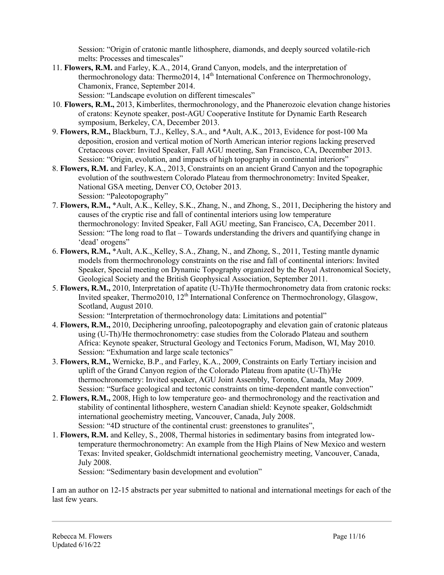Session: "Origin of cratonic mantle lithosphere, diamonds, and deeply sourced volatile-rich melts: Processes and timescales"

11. **Flowers, R.M.** and Farley, K.A., 2014, Grand Canyon, models, and the interpretation of thermochronology data: Thermo2014, 14th International Conference on Thermochronology, Chamonix, France, September 2014.

Session: "Landscape evolution on different timescales"

- 10. **Flowers, R.M.,** 2013, Kimberlites, thermochronology, and the Phanerozoic elevation change histories of cratons: Keynote speaker, post-AGU Cooperative Institute for Dynamic Earth Research symposium, Berkeley, CA, December 2013.
- 9. **Flowers, R.M.,** Blackburn, T.J., Kelley, S.A., and \*Ault, A.K., 2013, Evidence for post-100 Ma deposition, erosion and vertical motion of North American interior regions lacking preserved Cretaceous cover: Invited Speaker, Fall AGU meeting, San Francisco, CA, December 2013. Session: "Origin, evolution, and impacts of high topography in continental interiors"
- 8. **Flowers, R.M.** and Farley, K.A., 2013, Constraints on an ancient Grand Canyon and the topographic evolution of the southwestern Colorado Plateau from thermochronometry: Invited Speaker, National GSA meeting, Denver CO, October 2013. Session: "Paleotopography"
- 7. **Flowers, R.M.,** \*Ault, A.K., Kelley, S.K., Zhang, N., and Zhong, S., 2011, Deciphering the history and causes of the cryptic rise and fall of continental interiors using low temperature thermochronology: Invited Speaker, Fall AGU meeting, San Francisco, CA, December 2011. Session: "The long road to flat – Towards understanding the drivers and quantifying change in 'dead' orogens"
- 6. **Flowers, R.M.,** \*Ault, A.K., Kelley, S.A., Zhang, N., and Zhong, S., 2011, Testing mantle dynamic models from thermochronology constraints on the rise and fall of continental interiors: Invited Speaker, Special meeting on Dynamic Topography organized by the Royal Astronomical Society, Geological Society and the British Geophysical Association, September 2011.
- 5. **Flowers, R.M.,** 2010, Interpretation of apatite (U-Th)/He thermochronometry data from cratonic rocks: Invited speaker, Thermo2010, 12<sup>th</sup> International Conference on Thermochronology, Glasgow, Scotland, August 2010.

Session: "Interpretation of thermochronology data: Limitations and potential"

- 4. **Flowers, R.M.,** 2010, Deciphering unroofing, paleotopography and elevation gain of cratonic plateaus using (U-Th)/He thermochronometry: case studies from the Colorado Plateau and southern Africa: Keynote speaker, Structural Geology and Tectonics Forum, Madison, WI, May 2010. Session: "Exhumation and large scale tectonics"
- 3. **Flowers, R.M.,** Wernicke, B.P., and Farley, K.A., 2009, Constraints on Early Tertiary incision and uplift of the Grand Canyon region of the Colorado Plateau from apatite (U-Th)/He thermochronometry: Invited speaker, AGU Joint Assembly, Toronto, Canada, May 2009. Session: "Surface geological and tectonic constraints on time-dependent mantle convection"
- 2. **Flowers, R.M.,** 2008, High to low temperature geo- and thermochronology and the reactivation and stability of continental lithosphere, western Canadian shield: Keynote speaker, Goldschmidt international geochemistry meeting, Vancouver, Canada, July 2008. Session: "4D structure of the continental crust: greenstones to granulites",
- 1. **Flowers, R.M.** and Kelley, S., 2008, Thermal histories in sedimentary basins from integrated lowtemperature thermochronometry: An example from the High Plains of New Mexico and western Texas: Invited speaker, Goldschmidt international geochemistry meeting, Vancouver, Canada, July 2008.

Session: "Sedimentary basin development and evolution"

I am an author on 12-15 abstracts per year submitted to national and international meetings for each of the last few years.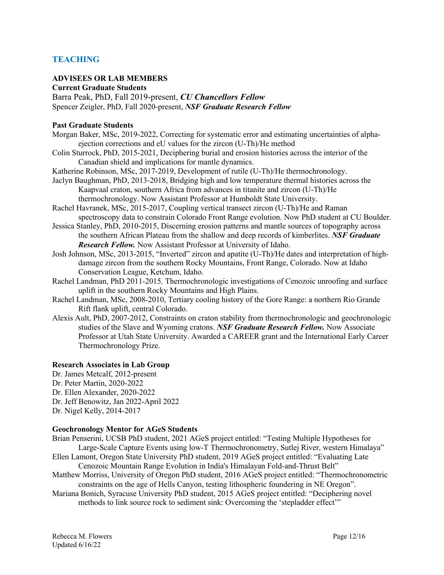# **TEACHING**

### **ADVISEES OR LAB MEMBERS**

#### **Current Graduate Students**

Barra Peak, PhD, Fall 2019-present, *CU Chancellors Fellow* Spencer Zeigler, PhD, Fall 2020-present, *NSF Graduate Research Fellow*

#### **Past Graduate Students**

- Morgan Baker, MSc, 2019-2022, Correcting for systematic error and estimating uncertainties of alphaejection corrections and eU values for the zircon (U-Th)/He method
- Colin Sturrock, PhD, 2015-2021, Deciphering burial and erosion histories across the interior of the Canadian shield and implications for mantle dynamics.
- Katherine Robinson, MSc, 2017-2019, Development of rutile (U-Th)/He thermochronology.
- Jaclyn Baughman, PhD, 2013-2018, Bridging high and low temperature thermal histories across the Kaapvaal craton, southern Africa from advances in titanite and zircon (U-Th)/He thermochronology. Now Assistant Professor at Humboldt State University.
- Rachel Havranek, MSc, 2015-2017, Coupling vertical transect zircon (U-Th)/He and Raman spectroscopy data to constrain Colorado Front Range evolution. Now PhD student at CU Boulder.
- Jessica Stanley, PhD, 2010-2015, Discerning erosion patterns and mantle sources of topography across the southern African Plateau from the shallow and deep records of kimberlites. *NSF Graduate Research Fellow.* Now Assistant Professor at University of Idaho.
- Josh Johnson, MSc, 2013-2015, "Inverted" zircon and apatite (U-Th)/He dates and interpretation of highdamage zircon from the southern Rocky Mountains, Front Range, Colorado. Now at Idaho Conservation League, Ketchum, Idaho.
- Rachel Landman, PhD 2011-2015*,* Thermochronologic investigations of Cenozoic unroofing and surface uplift in the southern Rocky Mountains and High Plains.
- Rachel Landman, MSc, 2008-2010, Tertiary cooling history of the Gore Range: a northern Rio Grande Rift flank uplift, central Colorado.
- Alexis Ault, PhD, 2007-2012, Constraints on craton stability from thermochronologic and geochronologic studies of the Slave and Wyoming cratons. *NSF Graduate Research Fellow.* Now Associate Professor at Utah State University. Awarded a CAREER grant and the International Early Career Thermochronology Prize.

#### **Research Associates in Lab Group**

Dr. James Metcalf, 2012-present Dr. Peter Martin, 2020-2022 Dr. Ellen Alexander, 2020-2022 Dr. Jeff Benowitz, Jan 2022-April 2022 Dr. Nigel Kelly, 2014-2017

#### **Geochronology Mentor for AGeS Students**

Brian Penserini, UCSB PhD student, 2021 AGeS project entitled: "Testing Multiple Hypotheses for Large-Scale Capture Events using low-T Thermochronometry, Sutlej River, western Himalaya" Ellen Lamont, Oregon State University PhD student, 2019 AGeS project entitled: "Evaluating Late Cenozoic Mountain Range Evolution in India's Himalayan Fold-and-Thrust Belt" Matthew Morriss, University of Oregon PhD student, 2016 AGeS project entitled: "Thermochronometric constraints on the age of Hells Canyon, testing lithospheric foundering in NE Oregon". Mariana Bonich, Syracuse University PhD student, 2015 AGeS project entitled: "Deciphering novel methods to link source rock to sediment sink: Overcoming the 'stepladder effect'"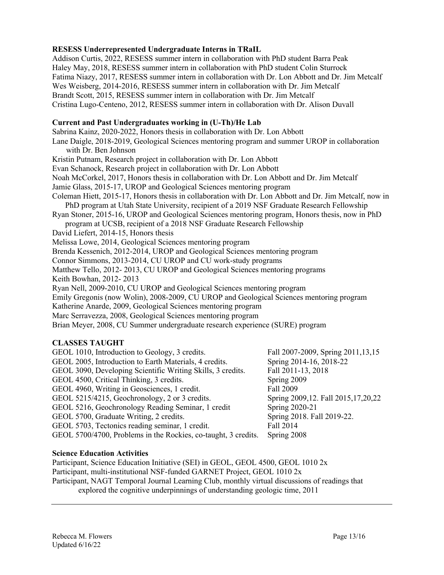# **RESESS Underrepresented Undergraduate Interns in TRaIL**

Addison Curtis, 2022, RESESS summer intern in collaboration with PhD student Barra Peak Haley May, 2018, RESESS summer intern in collaboration with PhD student Colin Sturrock Fatima Niazy, 2017, RESESS summer intern in collaboration with Dr. Lon Abbott and Dr. Jim Metcalf Wes Weisberg, 2014-2016, RESESS summer intern in collaboration with Dr. Jim Metcalf Brandt Scott, 2015, RESESS summer intern in collaboration with Dr. Jim Metcalf Cristina Lugo-Centeno, 2012, RESESS summer intern in collaboration with Dr. Alison Duvall

### **Current and Past Undergraduates working in (U-Th)/He Lab**

Sabrina Kainz, 2020-2022, Honors thesis in collaboration with Dr. Lon Abbott Lane Daigle, 2018-2019, Geological Sciences mentoring program and summer UROP in collaboration with Dr. Ben Johnson Kristin Putnam, Research project in collaboration with Dr. Lon Abbott Evan Schanock, Research project in collaboration with Dr. Lon Abbott Noah McCorkel, 2017, Honors thesis in collaboration with Dr. Lon Abbott and Dr. Jim Metcalf Jamie Glass, 2015-17, UROP and Geological Sciences mentoring program Coleman Hiett, 2015-17, Honors thesis in collaboration with Dr. Lon Abbott and Dr. Jim Metcalf, now in PhD program at Utah State University, recipient of a 2019 NSF Graduate Research Fellowship Ryan Stoner, 2015-16, UROP and Geological Sciences mentoring program, Honors thesis, now in PhD program at UCSB, recipient of a 2018 NSF Graduate Research Fellowship David Liefert, 2014-15, Honors thesis Melissa Lowe, 2014, Geological Sciences mentoring program Brenda Kessenich, 2012-2014, UROP and Geological Sciences mentoring program Connor Simmons, 2013-2014, CU UROP and CU work-study programs Matthew Tello, 2012- 2013, CU UROP and Geological Sciences mentoring programs Keith Bowhan, 2012- 2013 Ryan Nell, 2009-2010, CU UROP and Geological Sciences mentoring program Emily Gregonis (now Wolin), 2008-2009, CU UROP and Geological Sciences mentoring program Katherine Anarde, 2009, Geological Sciences mentoring program Marc Serravezza, 2008, Geological Sciences mentoring program Brian Meyer, 2008, CU Summer undergraduate research experience (SURE) program

# **CLASSES TAUGHT**

| GEOL 1010, Introduction to Geology, 3 credits.                 | Fall 2007-2009, Spring 2011, 13, 15 |
|----------------------------------------------------------------|-------------------------------------|
| GEOL 2005, Introduction to Earth Materials, 4 credits.         | Spring 2014-16, 2018-22             |
| GEOL 3090, Developing Scientific Writing Skills, 3 credits.    | Fall 2011-13, 2018                  |
| GEOL 4500, Critical Thinking, 3 credits.                       | Spring 2009                         |
| GEOL 4960, Writing in Geosciences, 1 credit.                   | Fall 2009                           |
| GEOL 5215/4215, Geochronology, 2 or 3 credits.                 | Spring 2009,12. Fall 2015,17,20,22  |
| GEOL 5216, Geochronology Reading Seminar, 1 credit             | Spring 2020-21                      |
| GEOL 5700, Graduate Writing, 2 credits.                        | Spring 2018. Fall 2019-22.          |
| GEOL 5703, Tectonics reading seminar, 1 credit.                | Fall 2014                           |
| GEOL 5700/4700, Problems in the Rockies, co-taught, 3 credits. | Spring 2008                         |
|                                                                |                                     |

#### **Science Education Activities**

Participant, Science Education Initiative (SEI) in GEOL, GEOL 4500, GEOL 1010 2x Participant, multi-institutional NSF-funded GARNET Project, GEOL 1010 2x Participant, NAGT Temporal Journal Learning Club, monthly virtual discussions of readings that explored the cognitive underpinnings of understanding geologic time, 2011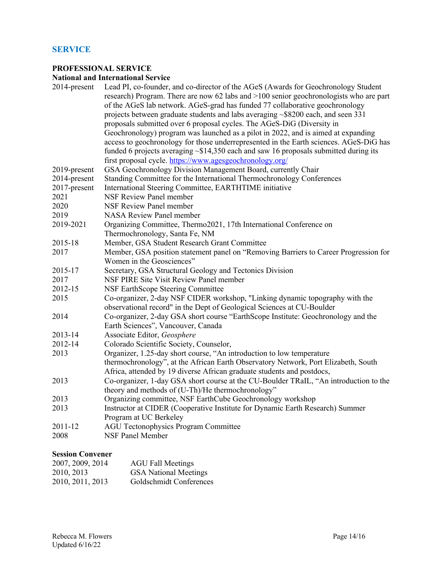# **SERVICE**

# **PROFESSIONAL SERVICE**

# **National and International Service**

| 2014-present | Lead PI, co-founder, and co-director of the AGeS (Awards for Geochronology Student<br>research) Program. There are now 62 labs and $>100$ senior geochronologists who are part |
|--------------|--------------------------------------------------------------------------------------------------------------------------------------------------------------------------------|
|              | of the AGeS lab network. AGeS-grad has funded 77 collaborative geochronology                                                                                                   |
|              |                                                                                                                                                                                |
|              | projects between graduate students and labs averaging ~\$8200 each, and seen 331                                                                                               |
|              | proposals submitted over 6 proposal cycles. The AGeS-DiG (Diversity in                                                                                                         |
|              | Geochronology) program was launched as a pilot in 2022, and is aimed at expanding                                                                                              |
|              | access to geochronology for those underrepresented in the Earth sciences. AGeS-DiG has                                                                                         |
|              | funded 6 projects averaging $\sim$ \$14,350 each and saw 16 proposals submitted during its                                                                                     |
|              | first proposal cycle. https://www.agesgeochronology.org/                                                                                                                       |
| 2019-present | GSA Geochronology Division Management Board, currently Chair                                                                                                                   |
| 2014-present | Standing Committee for the International Thermochronology Conferences                                                                                                          |
| 2017-present | International Steering Committee, EARTHTIME initiative                                                                                                                         |
| 2021         | <b>NSF Review Panel member</b>                                                                                                                                                 |
| 2020         | <b>NSF Review Panel member</b>                                                                                                                                                 |
| 2019         | <b>NASA Review Panel member</b>                                                                                                                                                |
| 2019-2021    | Organizing Committee, Thermo2021, 17th International Conference on                                                                                                             |
|              | Thermochronology, Santa Fe, NM                                                                                                                                                 |
| 2015-18      | Member, GSA Student Research Grant Committee                                                                                                                                   |
| 2017         | Member, GSA position statement panel on "Removing Barriers to Career Progression for                                                                                           |
|              | Women in the Geosciences"                                                                                                                                                      |
| 2015-17      | Secretary, GSA Structural Geology and Tectonics Division                                                                                                                       |
| 2017         | NSF PIRE Site Visit Review Panel member                                                                                                                                        |
| 2012-15      | NSF EarthScope Steering Committee                                                                                                                                              |
| 2015         | Co-organizer, 2-day NSF CIDER workshop, "Linking dynamic topography with the                                                                                                   |
|              | observational record" in the Dept of Geological Sciences at CU-Boulder                                                                                                         |
| 2014         | Co-organizer, 2-day GSA short course "EarthScope Institute: Geochronology and the                                                                                              |
|              | Earth Sciences", Vancouver, Canada                                                                                                                                             |
| 2013-14      | Associate Editor, Geosphere                                                                                                                                                    |
| 2012-14      | Colorado Scientific Society, Counselor,                                                                                                                                        |
| 2013         | Organizer, 1.25-day short course, "An introduction to low temperature                                                                                                          |
|              | thermochronology", at the African Earth Observatory Network, Port Elizabeth, South                                                                                             |
|              | Africa, attended by 19 diverse African graduate students and postdocs,                                                                                                         |
| 2013         | Co-organizer, 1-day GSA short course at the CU-Boulder TRaIL, "An introduction to the                                                                                          |
|              | theory and methods of (U-Th)/He thermochronology"                                                                                                                              |
| 2013         | Organizing committee, NSF EarthCube Geochronology workshop                                                                                                                     |
| 2013         | Instructor at CIDER (Cooperative Institute for Dynamic Earth Research) Summer                                                                                                  |
|              | Program at UC Berkeley                                                                                                                                                         |
| 2011-12      | <b>AGU Tectonophysics Program Committee</b>                                                                                                                                    |
| 2008         | <b>NSF Panel Member</b>                                                                                                                                                        |
|              |                                                                                                                                                                                |
|              |                                                                                                                                                                                |

# **Session Convener**

| 2007, 2009, 2014 | <b>AGU Fall Meetings</b>     |
|------------------|------------------------------|
| 2010, 2013       | <b>GSA</b> National Meetings |
| 2010, 2011, 2013 | Goldschmidt Conferences      |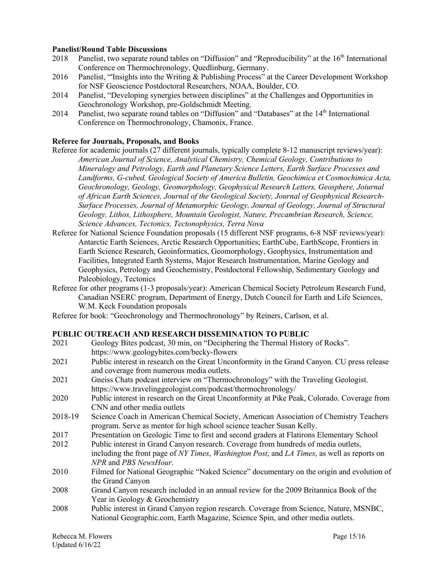#### **Panelist/Round Table Discussions**

- 2018 Panelist, two separate round tables on "Diffusion" and "Reproducibility" at the 16<sup>th</sup> International Conference on Thermochronology, Quedlinburg, Germany.
- 2016 Panelist, "'Insights into the Writing & Publishing Process" at the Career Development Workshop for NSF Geoscience Postdoctoral Researchers, NOAA, Boulder, CO.
- 2014 Panelist, "Developing synergies between disciplines" at the Challenges and Opportunities in Geochronology Workshop, pre-Goldschmidt Meeting.
- 2014 Panelist, two separate round tables on "Diffusion" and "Databases" at the 14<sup>th</sup> International Conference on Thermochronology, Chamonix, France.

#### **Referee for Journals, Proposals, and Books**

- Referee for academic journals (27 different journals, typically complete 8-12 manuscript reviews/year): *American Journal of Science, Analytical Chemistry, Chemical Geology, Contributions to Mineralogy and Petrology, Earth and Planetary Science Letters, Earth Surface Processes and Landforms, G-cubed, Geological Society of America Bulletin, Geochimica et Cosmochimica Acta, Geochronology, Geology, Geomorphology, Geophysical Research Letters, Geosphere, Joiurnal of African Earth Sciences, Journal of the Geological Society, Journal of Geophysical Research-Surface Processes, Journal of Metamorphic Geology, Journal of Geology, Journal of Structural Geology, Lithos, Lithosphere, Mountain Geologist, Nature, Precambrian Research, Science, Science Advances, Tectonics, Tectonophysics, Terra Nova*
- Referee for National Science Foundation proposals (15 different NSF programs, 6-8 NSF reviews/year): Antarctic Earth Sciences, Arctic Research Opportunities; EarthCube, EarthScope, Frontiers in Earth Science Research, Geoinformatics, Geomorphology, Geophysics, Instrumentation and Facilities, Integrated Earth Systems, Major Research Instrumentation, Marine Geology and Geophysics, Petrology and Geochemistry, Postdoctoral Fellowship, Sedimentary Geology and Paleobiology, Tectonics
- Referee for other programs (1-3 proposals/year): American Chemical Society Petroleum Research Fund, Canadian NSERC program, Department of Energy, Dutch Council for Earth and Life Sciences, W.M. Keck Foundation proposals
- Referee for book: "Geochronology and Thermochronology" by Reiners, Carlson, et al.

#### **PUBLIC OUTREACH AND RESEARCH DISSEMINATION TO PUBLIC**

- 2021 Geology Bites podcast, 30 min, on "Deciphering the Thermal History of Rocks". https://www.geologybites.com/becky-flowers
- 2021 Public interest in research on the Great Unconformity in the Grand Canyon. CU press release and coverage from numerous media outlets.
- 2021 Gneiss Chats podcast interview on "Thermochronology" with the Traveling Geologist. https://www.travelinggeologist.com/podcast/thermochronology/
- 2020 Public interest in research on the Great Unconformity at Pike Peak, Colorado. Coverage from CNN and other media outlets
- 2018-19 Science Coach in American Chemical Society, American Association of Chemistry Teachers program. Serve as mentor for high school science teacher Susan Kelly.
- 2017 Presentation on Geologic Time to first and second graders at Flatirons Elementary School 2012 Public interest in Grand Canyon research. Coverage from hundreds of media outlets,
- including the front page of *NY Times*, *Washington Post*, and *LA Times*, as well as reports on *NPR* and *PBS NewsHour*.
- 2010 Filmed for National Geographic "Naked Science" documentary on the origin and evolution of the Grand Canyon
- 2008 Grand Canyon research included in an annual review for the 2009 Britannica Book of the Year in Geology & Geochemistry
- 2008 Public interest in Grand Canyon region research. Coverage from Science, Nature, MSNBC, National Geographic.com, Earth Magazine, Science Spin, and other media outlets.